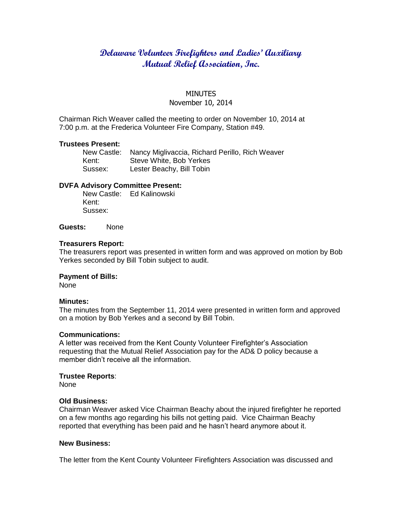# **Delaware Volunteer Firefighters and Ladies' Auxiliary Mutual Relief Association, Inc.**

# **MINUTES** November 10, 2014

Chairman Rich Weaver called the meeting to order on November 10, 2014 at 7:00 p.m. at the Frederica Volunteer Fire Company, Station #49.

### **Trustees Present:**

New Castle: Nancy Miglivaccia, Richard Perillo, Rich Weaver Kent: Steve White, Bob Yerkes Sussex: Lester Beachy, Bill Tobin

# **DVFA Advisory Committee Present:**

New Castle: Ed Kalinowski Kent: Sussex:

**Guests:** None

#### **Treasurers Report:**

The treasurers report was presented in written form and was approved on motion by Bob Yerkes seconded by Bill Tobin subject to audit.

#### **Payment of Bills:**

None

#### **Minutes:**

The minutes from the September 11, 2014 were presented in written form and approved on a motion by Bob Yerkes and a second by Bill Tobin.

## **Communications:**

A letter was received from the Kent County Volunteer Firefighter's Association requesting that the Mutual Relief Association pay for the AD& D policy because a member didn't receive all the information.

# **Trustee Reports**:

None

#### **Old Business:**

Chairman Weaver asked Vice Chairman Beachy about the injured firefighter he reported on a few months ago regarding his bills not getting paid. Vice Chairman Beachy reported that everything has been paid and he hasn't heard anymore about it.

# **New Business:**

The letter from the Kent County Volunteer Firefighters Association was discussed and